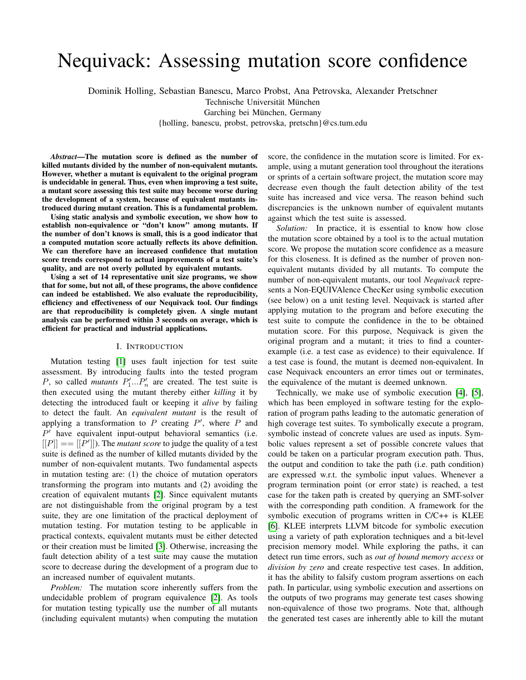# Nequivack: Assessing mutation score confidence

Dominik Holling, Sebastian Banescu, Marco Probst, Ana Petrovska, Alexander Pretschner

Technische Universität München

Garching bei München, Germany

{holling, banescu, probst, petrovska, pretschn}@cs.tum.edu

*Abstract*—The mutation score is defined as the number of killed mutants divided by the number of non-equivalent mutants. However, whether a mutant is equivalent to the original program is undecidable in general. Thus, even when improving a test suite, a mutant score assessing this test suite may become worse during the development of a system, because of equivalent mutants introduced during mutant creation. This is a fundamental problem.

Using static analysis and symbolic execution, we show how to establish non-equivalence or "don't know" among mutants. If the number of don't knows is small, this is a good indicator that a computed mutation score actually reflects its above definition. We can therefore have an increased confidence that mutation score trends correspond to actual improvements of a test suite's quality, and are not overly polluted by equivalent mutants.

Using a set of 14 representative unit size programs, we show that for some, but not all, of these programs, the above confidence can indeed be established. We also evaluate the reproducibility, efficiency and effectiveness of our Nequivack tool. Our findings are that reproducibility is completely given. A single mutant analysis can be performed within 3 seconds on average, which is efficient for practical and industrial applications.

# I. INTRODUCTION

Mutation testing [\[1\]](#page-9-0) uses fault injection for test suite assessment. By introducing faults into the tested program P, so called *mutants*  $P'_1...P'_n$  are created. The test suite is then executed using the mutant thereby either *killing* it by detecting the introduced fault or keeping it *alive* by failing to detect the fault. An *equivalent mutant* is the result of applying a transformation to  $P$  creating  $P'$ , where  $P$  and  $P'$  have equivalent input-output behavioral semantics (i.e.  $[[P]] == [[P']]$ ). The *mutant score* to judge the quality of a test suite is defined as the number of killed mutants divided by the number of non-equivalent mutants. Two fundamental aspects in mutation testing are: (1) the choice of mutation operators transforming the program into mutants and (2) avoiding the creation of equivalent mutants [\[2\]](#page-9-1). Since equivalent mutants are not distinguishable from the original program by a test suite, they are one limitation of the practical deployment of mutation testing. For mutation testing to be applicable in practical contexts, equivalent mutants must be either detected or their creation must be limited [\[3\]](#page-9-2). Otherwise, increasing the fault detection ability of a test suite may cause the mutation score to decrease during the development of a program due to an increased number of equivalent mutants.

*Problem:* The mutation score inherently suffers from the undecidable problem of program equivalence [\[2\]](#page-9-1). As tools for mutation testing typically use the number of all mutants (including equivalent mutants) when computing the mutation score, the confidence in the mutation score is limited. For example, using a mutant generation tool throughout the iterations or sprints of a certain software project, the mutation score may decrease even though the fault detection ability of the test suite has increased and vice versa. The reason behind such discrepancies is the unknown number of equivalent mutants against which the test suite is assessed.

*Solution:* In practice, it is essential to know how close the mutation score obtained by a tool is to the actual mutation score. We propose the mutation score confidence as a measure for this closeness. It is defined as the number of proven nonequivalent mutants divided by all mutants. To compute the number of non-equivalent mutants, our tool *Nequivack* represents a Non-EQUIVAlence ChecKer using symbolic execution (see below) on a unit testing level. Nequivack is started after applying mutation to the program and before executing the test suite to compute the confidence in the to be obtained mutation score. For this purpose, Nequivack is given the original program and a mutant; it tries to find a counterexample (i.e. a test case as evidence) to their equivalence. If a test case is found, the mutant is deemed non-equivalent. In case Nequivack encounters an error times out or terminates, the equivalence of the mutant is deemed unknown.

Technically, we make use of symbolic execution [\[4\]](#page-9-3), [\[5\]](#page-9-4), which has been employed in software testing for the exploration of program paths leading to the automatic generation of high coverage test suites. To symbolically execute a program, symbolic instead of concrete values are used as inputs. Symbolic values represent a set of possible concrete values that could be taken on a particular program execution path. Thus, the output and condition to take the path (i.e. path condition) are expressed w.r.t. the symbolic input values. Whenever a program termination point (or error state) is reached, a test case for the taken path is created by querying an SMT-solver with the corresponding path condition. A framework for the symbolic execution of programs written in C/C++ is KLEE [\[6\]](#page-9-5). KLEE interprets LLVM bitcode for symbolic execution using a variety of path exploration techniques and a bit-level precision memory model. While exploring the paths, it can detect run time errors, such as *out of bound memory access* or *division by zero* and create respective test cases. In addition, it has the ability to falsify custom program assertions on each path. In particular, using symbolic execution and assertions on the outputs of two programs may generate test cases showing non-equivalence of those two programs. Note that, although the generated test cases are inherently able to kill the mutant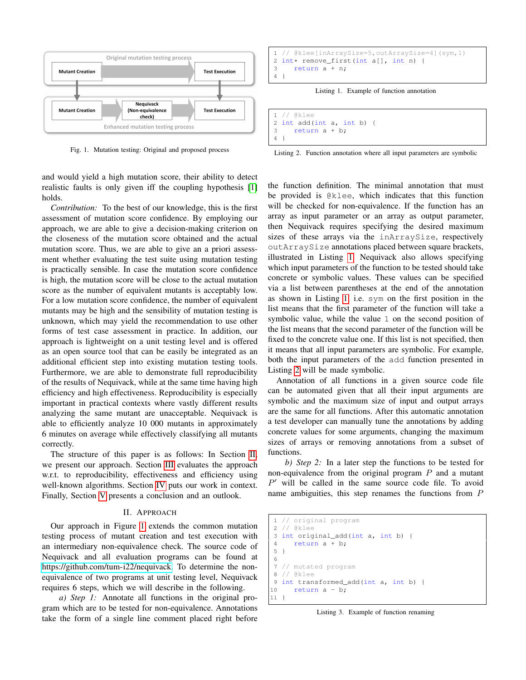

<span id="page-1-1"></span>Fig. 1. Mutation testing: Original and proposed process

and would yield a high mutation score, their ability to detect realistic faults is only given iff the coupling hypothesis [\[1\]](#page-9-0) holds.

*Contribution:* To the best of our knowledge, this is the first assessment of mutation score confidence. By employing our approach, we are able to give a decision-making criterion on the closeness of the mutation score obtained and the actual mutation score. Thus, we are able to give an a priori assessment whether evaluating the test suite using mutation testing is practically sensible. In case the mutation score confidence is high, the mutation score will be close to the actual mutation score as the number of equivalent mutants is acceptably low. For a low mutation score confidence, the number of equivalent mutants may be high and the sensibility of mutation testing is unknown, which may yield the recommendation to use other forms of test case assessment in practice. In addition, our approach is lightweight on a unit testing level and is offered as an open source tool that can be easily be integrated as an additional efficient step into existing mutation testing tools. Furthermore, we are able to demonstrate full reproducibility of the results of Nequivack, while at the same time having high efficiency and high effectiveness. Reproducibility is especially important in practical contexts where vastly different results analyzing the same mutant are unacceptable. Nequivack is able to efficiently analyze 10 000 mutants in approximately 6 minutes on average while effectively classifying all mutants correctly.

The structure of this paper is as follows: In Section [II,](#page-1-0) we present our approach. Section [III](#page-3-0) evaluates the approach w.r.t. to reproducibility, effectiveness and efficiency using well-known algorithms. Section [IV](#page-8-0) puts our work in context. Finally, Section [V](#page-8-1) presents a conclusion and an outlook.

## II. APPROACH

<span id="page-1-0"></span>Our approach in Figure [1](#page-1-1) extends the common mutation testing process of mutant creation and test execution with an intermediary non-equivalence check. The source code of Nequivack and all evaluation programs can be found at [https://github.com/tum-i22/nequivack.](https://github.com/tum-i22/nequivack) To determine the nonequivalence of two programs at unit testing level, Nequivack requires 6 steps, which we will describe in the following.

*a) Step 1:* Annotate all functions in the original program which are to be tested for non-equivalence. Annotations take the form of a single line comment placed right before

```
1 // @klee[inArraySize=5,outArraySize=4](sym,1)
2 int* remove_first(int a[], int n) {<br>3 return a + n;
      return a + n;
4 }
```
Listing 1. Example of function annotation

```
1 // @klee
2 int add(int a, int b) {
3 return a + b;
4 }
```
Listing 2. Function annotation where all input parameters are symbolic

the function definition. The minimal annotation that must be provided is @klee, which indicates that this function will be checked for non-equivalence. If the function has an array as input parameter or an array as output parameter, then Nequivack requires specifying the desired maximum sizes of these arrays via the inArraySize, respectively outArraySize annotations placed between square brackets, illustrated in Listing [1.](#page-1-2) Nequivack also allows specifying which input parameters of the function to be tested should take concrete or symbolic values. These values can be specified via a list between parentheses at the end of the annotation as shown in Listing [1,](#page-1-2) i.e. sym on the first position in the list means that the first parameter of the function will take a symbolic value, while the value 1 on the second position of the list means that the second parameter of the function will be fixed to the concrete value one. If this list is not specified, then it means that all input parameters are symbolic. For example, both the input parameters of the add function presented in Listing [2](#page-1-3) will be made symbolic.

Annotation of all functions in a given source code file can be automated given that all their input arguments are symbolic and the maximum size of input and output arrays are the same for all functions. After this automatic annotation a test developer can manually tune the annotations by adding concrete values for some arguments, changing the maximum sizes of arrays or removing annotations from a subset of functions.

*b) Step 2:* In a later step the functions to be tested for non-equivalence from the original program  $P$  and a mutant  $P'$  will be called in the same source code file. To avoid name ambiguities, this step renames the functions from P

```
1 // original program
2 // @klee
3 int original_add(int a, int b) {
4 return a + b;
5 }
6
7 // mutated program
8 // @klee
9 int transformed_add(int a, int b) {
10 return a - b;
11 }
```
Listing 3. Example of function renaming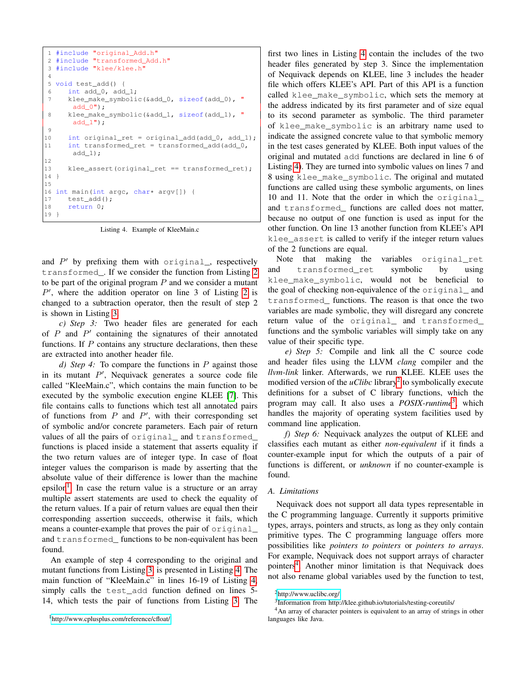```
1 #include "original_Add.h"
2 #include "transformed_Add.h"
3 #include "klee/klee.h"
4
5 void test_add() {
6 int add_0, add_1;
7 klee_make_symbolic(&add_0, sizeof(add_0), "
      add_0";
8 klee_make_symbolic(&add_1, sizeof(add_1), "
      add1"):
9
10 int original_ret = original_add(add_0, add_1);
11 int transformed_ret = transformed_add(add_0,
       add_1);
12
13 klee_assert(original_ret == transformed_ret);
14 }
15
16 int main(int argc, char* argv[]) {<br>17 test_add();
     test_add();
18 return 0;
19 }
```
Listing 4. Example of KleeMain.c

and  $P'$  by prefixing them with original, respectively transformed\_. If we consider the function from Listing [2](#page-1-3) to be part of the original program  $P$  and we consider a mutant  $P'$ , where the addition operator on line 3 of Listing [2](#page-1-3) is changed to a subtraction operator, then the result of step 2 is shown in Listing [3.](#page-1-4)

*c) Step 3:* Two header files are generated for each of  $P$  and  $P'$  containing the signatures of their annotated functions. If  *contains any structure declarations, then these* are extracted into another header file.

*d) Step 4:* To compare the functions in P against those in its mutant  $P'$ , Nequivack generates a source code file called "KleeMain.c", which contains the main function to be executed by the symbolic execution engine KLEE [\[7\]](#page-9-6). This file contains calls to functions which test all annotated pairs of functions from  $P$  and  $P'$ , with their corresponding set of symbolic and/or concrete parameters. Each pair of return values of all the pairs of original\_ and transformed\_ functions is placed inside a statement that asserts equality if the two return values are of integer type. In case of float integer values the comparison is made by asserting that the absolute value of their difference is lower than the machine epsilon<sup>[1](#page-2-0)</sup>. In case the return value is a structure or an array multiple assert statements are used to check the equality of the return values. If a pair of return values are equal then their corresponding assertion succeeds, otherwise it fails, which means a counter-example that proves the pair of original\_ and transformed\_ functions to be non-equivalent has been found.

An example of step 4 corresponding to the original and mutant functions from Listing [3,](#page-1-4) is presented in Listing [4.](#page-2-1) The main function of "KleeMain.c" in lines 16-19 of Listing [4,](#page-2-1) simply calls the test\_add function defined on lines 5- 14, which tests the pair of functions from Listing [3.](#page-1-4) The

first two lines in Listing [4](#page-2-1) contain the includes of the two header files generated by step 3. Since the implementation of Nequivack depends on KLEE, line 3 includes the header file which offers KLEE's API. Part of this API is a function called klee\_make\_symbolic, which sets the memory at the address indicated by its first parameter and of size equal to its second parameter as symbolic. The third parameter of klee\_make\_symbolic is an arbitrary name used to indicate the assigned concrete value to that symbolic memory in the test cases generated by KLEE. Both input values of the original and mutated add functions are declared in line 6 of Listing [4\)](#page-2-1). They are turned into symbolic values on lines 7 and 8 using klee\_make\_symbolic. The original and mutated functions are called using these symbolic arguments, on lines 10 and 11. Note that the order in which the original\_ and transformed\_ functions are called does not matter, because no output of one function is used as input for the other function. On line 13 another function from KLEE's API klee\_assert is called to verify if the integer return values of the 2 functions are equal.

Note that making the variables original\_ret and transformed\_ret symbolic by using klee\_make\_symbolic, would not be beneficial to the goal of checking non-equivalence of the original\_ and transformed\_ functions. The reason is that once the two variables are made symbolic, they will disregard any concrete return value of the original\_ and transformed\_ functions and the symbolic variables will simply take on any value of their specific type.

*e) Step 5:* Compile and link all the C source code and header files using the LLVM *clang* compiler and the *llvm-link* linker. Afterwards, we run KLEE. KLEE uses the modified version of the *uClibc* library<sup>[2](#page-2-2)</sup> to symbolically execute definitions for a subset of C library functions, which the program may call. It also uses a *POSIX-runtime*[3](#page-2-3) , which handles the majority of operating system facilities used by command line application.

*f) Step 6:* Nequivack analyzes the output of KLEE and classifies each mutant as either *non-equivalent* if it finds a counter-example input for which the outputs of a pair of functions is different, or *unknown* if no counter-example is found.

### *A. Limitations*

Nequivack does not support all data types representable in the C programming language. Currently it supports primitive types, arrays, pointers and structs, as long as they only contain primitive types. The C programming language offers more possibilities like *pointers to pointers* or *pointers to arrays*. For example, Nequivack does not support arrays of character pointers<sup>[4](#page-2-4)</sup>. Another minor limitation is that Nequivack does not also rename global variables used by the function to test,

<span id="page-2-0"></span><sup>1</sup><http://www.cplusplus.com/reference/cfloat/>

<span id="page-2-2"></span><sup>2</sup><http://www.uclibc.org/>

<span id="page-2-4"></span><span id="page-2-3"></span><sup>3</sup> Information from http://klee.github.io/tutorials/testing-coreutils/

<sup>4</sup>An array of character pointers is equivalent to an array of strings in other languages like Java.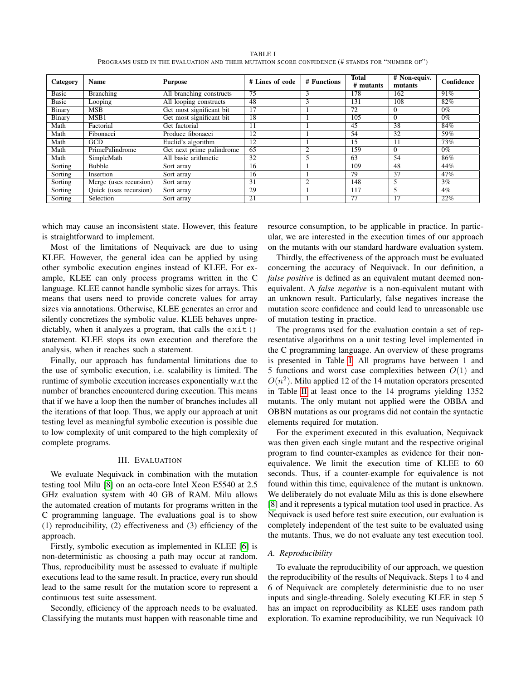TABLE I PROGRAMS USED IN THE EVALUATION AND THEIR MUTATION SCORE CONFIDENCE (# STANDS FOR "NUMBER OF")

<span id="page-3-1"></span>

| Category     | <b>Name</b>            | <b>Purpose</b>            | # Lines of code | # Functions | <b>Total</b><br># mutants | $#$ Non-equiv.<br>mutants | Confidence |
|--------------|------------------------|---------------------------|-----------------|-------------|---------------------------|---------------------------|------------|
| <b>Basic</b> | Branching              | All branching constructs  | 75              | 3           | 178                       | 162                       | 91%        |
| <b>Basic</b> | Looping                | All looping constructs    | 48              | 3           | 131                       | 108                       | 82%        |
| Binary       | <b>MSB</b>             | Get most significant bit  | 17              |             | 72                        | $\Omega$                  | $0\%$      |
| Binary       | MSB1                   | Get most significant bit  | 18              |             | 105                       | $\Omega$                  | $0\%$      |
| Math         | Factorial              | Get factorial             | 11              |             | 45                        | 38                        | 84%        |
| Math         | Fibonacci              | Produce fibonacci         | 12              |             | 54                        | 32                        | 59%        |
| Math         | <b>GCD</b>             | Euclid's algorithm        | 12              |             | 15                        | 11                        | 73%        |
| Math         | PrimePalindrome        | Get next prime palindrome | 65              |             | 159                       | $\Omega$                  | $0\%$      |
| Math         | SimpleMath             | All basic arithmetic      | 32              |             | 63                        | 54                        | 86%        |
| Sorting      | <b>Bubble</b>          | Sort array                | 16              |             | 109                       | 48                        | 44%        |
| Sorting      | Insertion              | Sort array                | 16              |             | 79                        | 37                        | 47%        |
| Sorting      | Merge (uses recursion) | Sort array                | 31              | ◠           | 148                       | 5                         | 3%         |
| Sorting      | Quick (uses recursion) | Sort array                | 29              |             | 117                       | 5                         | $4\%$      |
| Sorting      | Selection              | Sort array                | 21              |             | 77                        | 17                        | 22%        |

which may cause an inconsistent state. However, this feature is straightforward to implement.

Most of the limitations of Nequivack are due to using KLEE. However, the general idea can be applied by using other symbolic execution engines instead of KLEE. For example, KLEE can only process programs written in the C language. KLEE cannot handle symbolic sizes for arrays. This means that users need to provide concrete values for array sizes via annotations. Otherwise, KLEE generates an error and silently concretizes the symbolic value. KLEE behaves unpredictably, when it analyzes a program, that calls the exit() statement. KLEE stops its own execution and therefore the analysis, when it reaches such a statement.

Finally, our approach has fundamental limitations due to the use of symbolic execution, i.e. scalability is limited. The runtime of symbolic execution increases exponentially w.r.t the number of branches encountered during execution. This means that if we have a loop then the number of branches includes all the iterations of that loop. Thus, we apply our approach at unit testing level as meaningful symbolic execution is possible due to low complexity of unit compared to the high complexity of complete programs.

### III. EVALUATION

<span id="page-3-0"></span>We evaluate Nequivack in combination with the mutation testing tool Milu [\[8\]](#page-9-7) on an octa-core Intel Xeon E5540 at 2.5 GHz evaluation system with 40 GB of RAM. Milu allows the automated creation of mutants for programs written in the C programming language. The evaluations goal is to show (1) reproducibility, (2) effectiveness and (3) efficiency of the approach.

Firstly, symbolic execution as implemented in KLEE [\[6\]](#page-9-5) is non-deterministic as choosing a path may occur at random. Thus, reproducibility must be assessed to evaluate if multiple executions lead to the same result. In practice, every run should lead to the same result for the mutation score to represent a continuous test suite assessment.

Secondly, efficiency of the approach needs to be evaluated. Classifying the mutants must happen with reasonable time and resource consumption, to be applicable in practice. In particular, we are interested in the execution times of our approach on the mutants with our standard hardware evaluation system.

Thirdly, the effectiveness of the approach must be evaluated concerning the accuracy of Nequivack. In our definition, a *false positive* is defined as an equivalent mutant deemed nonequivalent. A *false negative* is a non-equivalent mutant with an unknown result. Particularly, false negatives increase the mutation score confidence and could lead to unreasonable use of mutation testing in practice.

The programs used for the evaluation contain a set of representative algorithms on a unit testing level implemented in the C programming language. An overview of these programs is presented in Table [I.](#page-3-1) All programs have between 1 and 5 functions and worst case complexities between  $O(1)$  and  $O(n^2)$ . Milu applied 12 of the 14 mutation operators presented in Table [II](#page-4-0) at least once to the 14 programs yielding 1352 mutants. The only mutant not applied were the OBBA and OBBN mutations as our programs did not contain the syntactic elements required for mutation.

For the experiment executed in this evaluation, Nequivack was then given each single mutant and the respective original program to find counter-examples as evidence for their nonequivalence. We limit the execution time of KLEE to 60 seconds. Thus, if a counter-example for equivalence is not found within this time, equivalence of the mutant is unknown. We deliberately do not evaluate Milu as this is done elsewhere [\[8\]](#page-9-7) and it represents a typical mutation tool used in practice. As Nequivack is used before test suite execution, our evaluation is completely independent of the test suite to be evaluated using the mutants. Thus, we do not evaluate any test execution tool.

## *A. Reproducibility*

To evaluate the reproducibility of our approach, we question the reproducibility of the results of Nequivack. Steps 1 to 4 and 6 of Nequivack are completely deterministic due to no user inputs and single-threading. Solely executing KLEE in step 5 has an impact on reproducibility as KLEE uses random path exploration. To examine reproducibility, we run Nequivack 10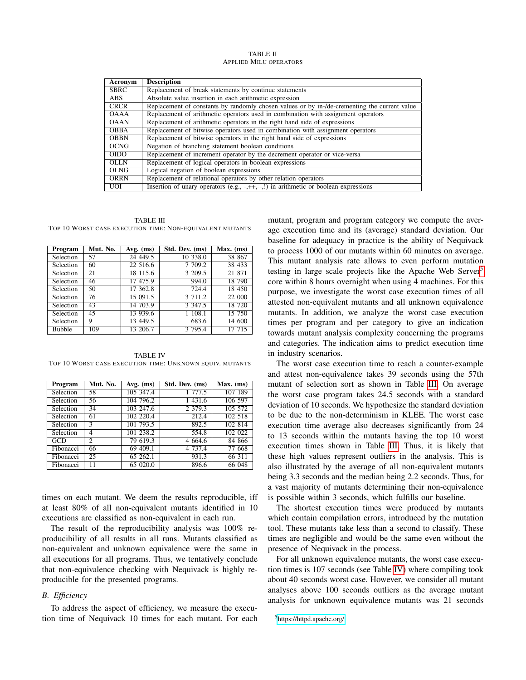TABLE II APPLIED MILU OPERATORS

<span id="page-4-0"></span>

| Acronym          | <b>Description</b>                                                                           |
|------------------|----------------------------------------------------------------------------------------------|
| <b>SBRC</b>      | Replacement of break statements by continue statements                                       |
| <b>ABS</b>       | Absolute value insertion in each arithmetic expression                                       |
| <b>CRCR</b>      | Replacement of constants by randomly chosen values or by in-/de-crementing the current value |
| <b>OAAA</b>      | Replacement of arithmetic operators used in combination with assignment operators            |
| <b>OAAN</b>      | Replacement of arithmetic operators in the right hand side of expressions                    |
| <b>OBBA</b>      | Replacement of bitwise operators used in combination with assignment operators               |
| <b>OBBN</b>      | Replacement of bitwise operators in the right hand side of expressions                       |
| <b>OCNG</b>      | Negation of branching statement boolean conditions                                           |
| $\overline{ODO}$ | Replacement of increment operator by the decrement operator or vice-versa                    |
| <b>OLLN</b>      | Replacement of logical operators in boolean expressions                                      |
| <b>OLNG</b>      | Logical negation of boolean expressions                                                      |
| <b>ORRN</b>      | Replacement of relational operators by other relation operators                              |
| <b>UOI</b>       | Insertion of unary operators $(e.g., -, ++, -,!)$ in arithmetic or boolean expressions       |

<span id="page-4-2"></span>TABLE III TOP 10 WORST CASE EXECUTION TIME: NON-EQUIVALENT MUTANTS

| Program          | Mut. No. | $Avg.$ (ms) | Std. Dev. (ms) | Max. (ms) |
|------------------|----------|-------------|----------------|-----------|
| Selection        | 57       | 24 449.5    | 10 338.0       | 38 867    |
| Selection        | 60       | 22 516.6    | 7 709.2        | 38 433    |
| Selection        | 21       | 18 115.6    | 3 209.5        | 21 871    |
| Selection        | 46       | 17 475.9    | 994.0          | 18 790    |
| <b>Selection</b> | 50       | 17 362.8    | 724.4          | 18 450    |
| Selection        | 76       | 15 091.5    | 3711.2         | 22 000    |
| Selection        | 43       | 14 703.9    | 3 3 4 7 .5     | 18 720    |
| Selection        | 45       | 13 939.6    | 1 108.1        | 15 750    |
| Selection        | 9        | 13 449.5    | 683.6          | 14 600    |
| <b>Bubble</b>    | 109      | 13 206.7    | 3 795.4        | 17 715    |

<span id="page-4-3"></span>TABLE IV TOP 10 WORST CASE EXECUTION TIME: UNKNOWN EQUIV. MUTANTS

| Program          | Mut. No.       | $Avg.$ (ms) | Std. Dev. (ms) | Max. (ms) |
|------------------|----------------|-------------|----------------|-----------|
| Selection        | 58             | 105 347.4   | 1 777.5        | 107 189   |
| <b>Selection</b> | 56             | 104 796.2   | 1 431.6        | 106 597   |
| Selection        | 34             | 103 247.6   | 2 3 7 9 . 3    | 105 572   |
| Selection        | 61             | 102 220.4   | 212.4          | 102 518   |
| Selection        | 3              | 101 793.5   | 892.5          | 102 814   |
| Selection        | 4              | 101 238.2   | 554.8          | 102 022   |
| GCD              | $\overline{c}$ | 79 619.3    | 4 6 6 4 . 6    | 84 866    |
| Fibonacci        | 66             | 69 409.1    | 4 7 3 7 . 4    | 77 668    |
| Fibonacci        | 25             | 65 262.1    | 931.3          | 66 311    |
| Fibonacci        | 11             | 65 020.0    | 896.6          | 66 048    |

times on each mutant. We deem the results reproducible, iff at least 80% of all non-equivalent mutants identified in 10 executions are classified as non-equivalent in each run.

The result of the reproducibility analysis was 100% reproducibility of all results in all runs. Mutants classified as non-equivalent and unknown equivalence were the same in all executions for all programs. Thus, we tentatively conclude that non-equivalence checking with Nequivack is highly reproducible for the presented programs.

# *B. Efficiency*

To address the aspect of efficiency, we measure the execution time of Nequivack 10 times for each mutant. For each mutant, program and program category we compute the average execution time and its (average) standard deviation. Our baseline for adequacy in practice is the ability of Nequivack to process 1000 of our mutants within 60 minutes on average. This mutant analysis rate allows to even perform mutation testing in large scale projects like the Apache Web Server<sup>[5](#page-4-1)</sup> core within 8 hours overnight when using 4 machines. For this purpose, we investigate the worst case execution times of all attested non-equivalent mutants and all unknown equivalence mutants. In addition, we analyze the worst case execution times per program and per category to give an indication towards mutant analysis complexity concerning the programs and categories. The indication aims to predict execution time in industry scenarios.

The worst case execution time to reach a counter-example and attest non-equivalence takes 39 seconds using the 57th mutant of selection sort as shown in Table [III.](#page-4-2) On average the worst case program takes 24.5 seconds with a standard deviation of 10 seconds. We hypothesize the standard deviation to be due to the non-determinism in KLEE. The worst case execution time average also decreases significantly from 24 to 13 seconds within the mutants having the top 10 worst execution times shown in Table [III.](#page-4-2) Thus, it is likely that these high values represent outliers in the analysis. This is also illustrated by the average of all non-equivalent mutants being 3.3 seconds and the median being 2.2 seconds. Thus, for a vast majority of mutants determining their non-equivalence is possible within 3 seconds, which fulfills our baseline.

The shortest execution times were produced by mutants which contain compilation errors, introduced by the mutation tool. These mutants take less than a second to classify. These times are negligible and would be the same even without the presence of Nequivack in the process.

For all unknown equivalence mutants, the worst case execution times is 107 seconds (see Table [IV\)](#page-4-3) where compiling took about 40 seconds worst case. However, we consider all mutant analyses above 100 seconds outliers as the average mutant analysis for unknown equivalence mutants was 21 seconds

```
5https://httpd.apache.org/
```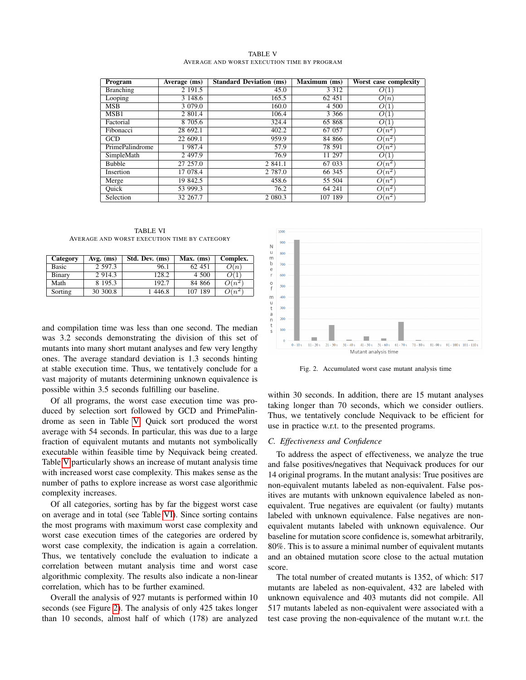| <b>TABLE V</b> |  |  |                                             |  |  |  |
|----------------|--|--|---------------------------------------------|--|--|--|
|                |  |  | AVERAGE AND WORST EXECUTION TIME BY PROGRAM |  |  |  |

<span id="page-5-0"></span>

| Program         | Average (ms) | <b>Standard Deviation (ms)</b> | $\overline{\text{Maximum}}$ (ms) | Worst case complexity |
|-----------------|--------------|--------------------------------|----------------------------------|-----------------------|
| Branching       | 2 191.5      | 45.0                           | 3 3 1 2                          | O(1)                  |
| Looping         | 3 148.6      | 165.5                          | 62 451                           | O(n)                  |
| <b>MSB</b>      | 3 0 7 9 .0   | 160.0                          | 4 500                            | O(1)                  |
| MSB1            | 2 801.4      | 106.4                          | 3 3 6 6                          | O(1)                  |
| Factorial       | 8 705.6      | 324.4                          | 65 868                           | O(1)                  |
| Fibonacci       | 28 692.1     | 402.2                          | 67 057                           | $O(n^2)$              |
| GCD             | 22 609.1     | 959.9                          | 84 866                           | $O(n^2)$              |
| PrimePalindrome | 1 987.4      | 57.9                           | 78 591                           | $O(n^2)$              |
| SimpleMath      | 2 497.9      | 76.9                           | 11 297                           | O(1)                  |
| <b>Bubble</b>   | 27 257.0     | 2 841.1                        | 67 033                           | $O(n^2)$              |
| Insertion       | 17 078.4     | 2 787.0                        | 66 345                           | $O(n^2)$              |
| Merge           | 19 842.5     | 458.6                          | 55 504                           | $O(n^2)$              |
| Ouick           | 53 999.3     | 76.2                           | 64 241                           | $O(n^2)$              |
| Selection       | 32 267.7     | 2 080.3                        | 107 189                          | $O(n^2)$              |

TABLE VI AVERAGE AND WORST EXECUTION TIME BY CATEGORY

<span id="page-5-1"></span>

| Category | $Avg.$ (ms) | Std. Dev. (ms) | Max. (ms) | Complex.           |
|----------|-------------|----------------|-----------|--------------------|
| Basic    | 2 597.3     | 96.1           | 62 451    | O(n)               |
| Binary   | 2 9 1 4 .3  | 128.2          | 4 500     |                    |
| Math     | 8 195.3     | 192.7          | 84 866    | $O(n^2)$           |
| Sorting  | 30 300.8    | 446.8          | 107 189   | $\mathcal{N}(n^2)$ |

and compilation time was less than one second. The median was 3.2 seconds demonstrating the division of this set of mutants into many short mutant analyses and few very lengthy ones. The average standard deviation is 1.3 seconds hinting at stable execution time. Thus, we tentatively conclude for a vast majority of mutants determining unknown equivalence is possible within 3.5 seconds fulfilling our baseline.

Of all programs, the worst case execution time was produced by selection sort followed by GCD and PrimePalindrome as seen in Table [V.](#page-5-0) Quick sort produced the worst average with 54 seconds. In particular, this was due to a large fraction of equivalent mutants and mutants not symbolically executable within feasible time by Nequivack being created. Table [V](#page-5-0) particularly shows an increase of mutant analysis time with increased worst case complexity. This makes sense as the number of paths to explore increase as worst case algorithmic complexity increases.

Of all categories, sorting has by far the biggest worst case on average and in total (see Table [VI\)](#page-5-1). Since sorting contains the most programs with maximum worst case complexity and worst case execution times of the categories are ordered by worst case complexity, the indication is again a correlation. Thus, we tentatively conclude the evaluation to indicate a correlation between mutant analysis time and worst case algorithmic complexity. The results also indicate a non-linear correlation, which has to be further examined.

Overall the analysis of 927 mutants is performed within 10 seconds (see Figure [2\)](#page-5-2). The analysis of only 425 takes longer than 10 seconds, almost half of which (178) are analyzed



<span id="page-5-2"></span>Fig. 2. Accumulated worst case mutant analysis time

within 30 seconds. In addition, there are 15 mutant analyses taking longer than 70 seconds, which we consider outliers. Thus, we tentatively conclude Nequivack to be efficient for use in practice w.r.t. to the presented programs.

# *C. Effectiveness and Confidence*

To address the aspect of effectiveness, we analyze the true and false positives/negatives that Nequivack produces for our 14 original programs. In the mutant analysis: True positives are non-equivalent mutants labeled as non-equivalent. False positives are mutants with unknown equivalence labeled as nonequivalent. True negatives are equivalent (or faulty) mutants labeled with unknown equivalence. False negatives are nonequivalent mutants labeled with unknown equivalence. Our baseline for mutation score confidence is, somewhat arbitrarily, 80%. This is to assure a minimal number of equivalent mutants and an obtained mutation score close to the actual mutation score.

The total number of created mutants is 1352, of which: 517 mutants are labeled as non-equivalent, 432 are labeled with unknown equivalence and 403 mutants did not compile. All 517 mutants labeled as non-equivalent were associated with a test case proving the non-equivalence of the mutant w.r.t. the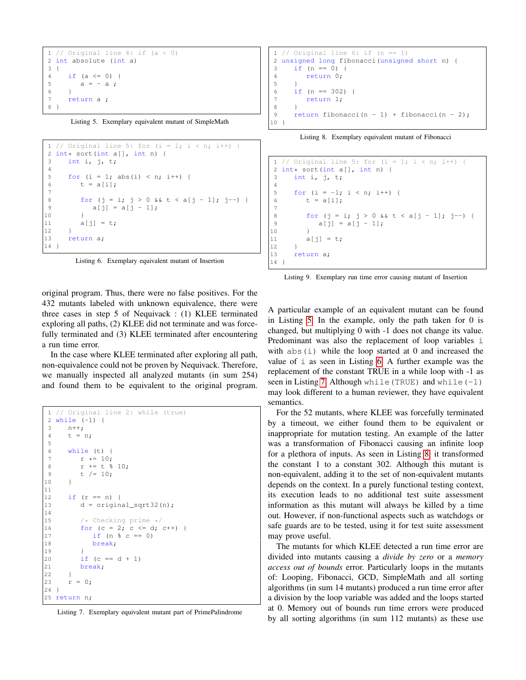```
1 // Original line 4: if (a < 0)2 int absolute (int a)
3 {
4 if (a \le 0) {<br>5 a = -a ;
        a = - a;
6 }
7 return a ;
8 }
```
Listing 5. Exemplary equivalent mutant of SimpleMath

```
1 // Original line 5: for (i = 1; i < n; i++) {
2 int* sort(int a[], int n) {<br>3 int i, j, t;
     int i, j, t;
4
5 for (i = 1; abs(i) < n; i++) {
6 t = a[i];7
8 for (j = i; j > 0 \&c t < a[j - 1]; j--) {
9 a[j] = a[j-1];1011 a[i] = t;12 }
13 return a;
14 }
```
Listing 6. Exemplary equivalent mutant of Insertion

original program. Thus, there were no false positives. For the 432 mutants labeled with unknown equivalence, there were three cases in step 5 of Nequivack : (1) KLEE terminated exploring all paths, (2) KLEE did not terminate and was forcefully terminated and (3) KLEE terminated after encountering a run time error.

In the case where KLEE terminated after exploring all path, non-equivalence could not be proven by Nequivack. Therefore, we manually inspected all analyzed mutants (in sum 254) and found them to be equivalent to the original program.

```
1 // Original line 2: while (true)
2 while (-1) {
3 n++;
4 \t t = n;
5
6 while (t) {
7 r * = 10;<br>8 r + = t %
         r += t \frac{6}{9} 10;
9 t / = 10;
10 }
11
12 if (r == n) {
13 d = original_sqrt32(n);14
15 /* Checking prime */<br>16 for (c = 2: c \le d)for (c = 2; c \le d; c++) {
17 if (n \text{ } 8 \text{ } c == 0)18 break;
19 }
20 if (c == d + 1)21 break;
22 }
23 r = 0;24 }
25 return n;
```

|  |  | Listing 7. Exemplary equivalent mutant part of PrimePalindrome |
|--|--|----------------------------------------------------------------|
|  |  |                                                                |

```
1 // Original line 6: if (n == 1)2 unsigned long fibonacci(unsigned short n) {
3 \text{ if } (n == 0)4 return 0;
\begin{array}{c} 5 \\ 6 \end{array}if (n == 302) {
7 return 1;
8 }
9 return fibonacci(n - 1) + fibonacci(n - 2);
10 }
```
Listing 8. Exemplary equivalent mutant of Fibonacci

```
1 // Original line 5: for (i = 1; i < n; i++) {
2 int \star sort(int a[], int n) {<br>3 int i, i, t;
      int i, j, t;
4
5 for (i = -1; i < n; i++) {
 6 t = a[i];7
8 for (j = i; j > 0 \&c t < a[j - 1]; j--)9 a[j] = a[j - 1];1011 a[j] = t;\begin{array}{cc} 12 & & \text{ } \\ 13 & & \text{ } \\ \end{array}return a;
14 }
```
Listing 9. Exemplary run time error causing mutant of Insertion

A particular example of an equivalent mutant can be found in Listing [5.](#page-6-0) In the example, only the path taken for 0 is changed, but multiplying 0 with -1 does not change its value. Predominant was also the replacement of loop variables i with  $abs(i)$  while the loop started at 0 and increased the value of i as seen in Listing [6.](#page-6-1) A further example was the replacement of the constant TRUE in a while loop with -1 as seen in Listing [7.](#page-6-2) Although while (TRUE) and while  $(-1)$ may look different to a human reviewer, they have equivalent semantics.

For the 52 mutants, where KLEE was forcefully terminated by a timeout, we either found them to be equivalent or inappropriate for mutation testing. An example of the latter was a transformation of Fibonacci causing an infinite loop for a plethora of inputs. As seen in Listing [8,](#page-6-3) it transformed the constant 1 to a constant 302. Although this mutant is non-equivalent, adding it to the set of non-equivalent mutants depends on the context. In a purely functional testing context, its execution leads to no additional test suite assessment information as this mutant will always be killed by a time out. However, if non-functional aspects such as watchdogs or safe guards are to be tested, using it for test suite assessment may prove useful.

The mutants for which KLEE detected a run time error are divided into mutants causing a *divide by zero* or a *memory access out of bounds* error. Particularly loops in the mutants of: Looping, Fibonacci, GCD, SimpleMath and all sorting algorithms (in sum 14 mutants) produced a run time error after a division by the loop variable was added and the loops started at 0. Memory out of bounds run time errors were produced by all sorting algorithms (in sum 112 mutants) as these use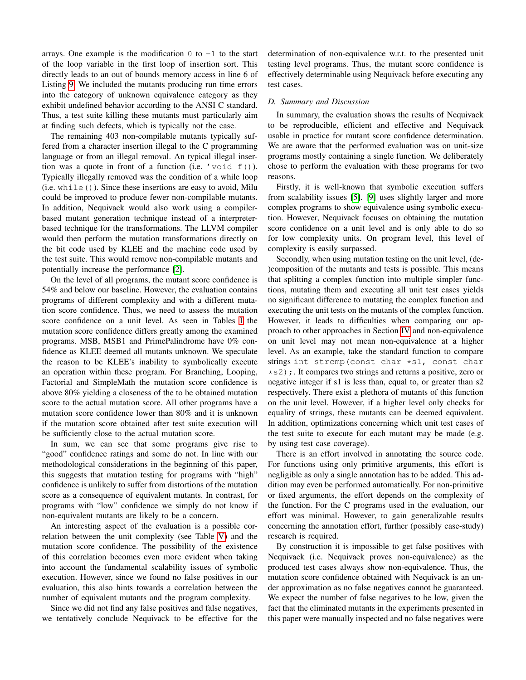arrays. One example is the modification  $0$  to  $-1$  to the start of the loop variable in the first loop of insertion sort. This directly leads to an out of bounds memory access in line 6 of Listing [9.](#page-6-4) We included the mutants producing run time errors into the category of unknown equivalence category as they exhibit undefined behavior according to the ANSI C standard. Thus, a test suite killing these mutants must particularly aim at finding such defects, which is typically not the case.

The remaining 403 non-compilable mutants typically suffered from a character insertion illegal to the C programming language or from an illegal removal. An typical illegal insertion was a quote in front of a function (i.e. **'**void f()). Typically illegally removed was the condition of a while loop (i.e. while()). Since these insertions are easy to avoid, Milu could be improved to produce fewer non-compilable mutants. In addition, Nequivack would also work using a compilerbased mutant generation technique instead of a interpreterbased technique for the transformations. The LLVM compiler would then perform the mutation transformations directly on the bit code used by KLEE and the machine code used by the test suite. This would remove non-compilable mutants and potentially increase the performance [\[2\]](#page-9-1).

On the level of all programs, the mutant score confidence is 54% and below our baseline. However, the evaluation contains programs of different complexity and with a different mutation score confidence. Thus, we need to assess the mutation score confidence on a unit level. As seen in Tables [I](#page-3-1) the mutation score confidence differs greatly among the examined programs. MSB, MSB1 and PrimePalindrome have 0% confidence as KLEE deemed all mutants unknown. We speculate the reason to be KLEE's inability to symbolically execute an operation within these program. For Branching, Looping, Factorial and SimpleMath the mutation score confidence is above 80% yielding a closeness of the to be obtained mutation score to the actual mutation score. All other programs have a mutation score confidence lower than 80% and it is unknown if the mutation score obtained after test suite execution will be sufficiently close to the actual mutation score.

In sum, we can see that some programs give rise to "good" confidence ratings and some do not. In line with our methodological considerations in the beginning of this paper, this suggests that mutation testing for programs with "high" confidence is unlikely to suffer from distortions of the mutation score as a consequence of equivalent mutants. In contrast, for programs with "low" confidence we simply do not know if non-equivalent mutants are likely to be a concern.

An interesting aspect of the evaluation is a possible correlation between the unit complexity (see Table [V\)](#page-5-0) and the mutation score confidence. The possibility of the existence of this correlation becomes even more evident when taking into account the fundamental scalability issues of symbolic execution. However, since we found no false positives in our evaluation, this also hints towards a correlation between the number of equivalent mutants and the program complexity.

Since we did not find any false positives and false negatives, we tentatively conclude Nequivack to be effective for the determination of non-equivalence w.r.t. to the presented unit testing level programs. Thus, the mutant score confidence is effectively determinable using Nequivack before executing any test cases.

# *D. Summary and Discussion*

In summary, the evaluation shows the results of Nequivack to be reproducible, efficient and effective and Nequivack usable in practice for mutant score confidence determination. We are aware that the performed evaluation was on unit-size programs mostly containing a single function. We deliberately chose to perform the evaluation with these programs for two reasons.

Firstly, it is well-known that symbolic execution suffers from scalability issues [\[5\]](#page-9-4). [\[9\]](#page-9-8) uses slightly larger and more complex programs to show equivalence using symbolic execution. However, Nequivack focuses on obtaining the mutation score confidence on a unit level and is only able to do so for low complexity units. On program level, this level of complexity is easily surpassed.

Secondly, when using mutation testing on the unit level, (de- )composition of the mutants and tests is possible. This means that splitting a complex function into multiple simpler functions, mutating them and executing all unit test cases yields no significant difference to mutating the complex function and executing the unit tests on the mutants of the complex function. However, it leads to difficulties when comparing our approach to other approaches in Section [IV](#page-8-0) and non-equivalence on unit level may not mean non-equivalence at a higher level. As an example, take the standard function to compare strings int strcmp(const char \*s1, const char  $\star$ s2);. It compares two strings and returns a positive, zero or negative integer if s1 is less than, equal to, or greater than s2 respectively. There exist a plethora of mutants of this function on the unit level. However, if a higher level only checks for equality of strings, these mutants can be deemed equivalent. In addition, optimizations concerning which unit test cases of the test suite to execute for each mutant may be made (e.g. by using test case coverage).

There is an effort involved in annotating the source code. For functions using only primitive arguments, this effort is negligible as only a single annotation has to be added. This addition may even be performed automatically. For non-primitive or fixed arguments, the effort depends on the complexity of the function. For the C programs used in the evaluation, our effort was minimal. However, to gain generalizable results concerning the annotation effort, further (possibly case-study) research is required.

By construction it is impossible to get false positives with Nequivack (i.e. Nequivack proves non-equivalence) as the produced test cases always show non-equivalence. Thus, the mutation score confidence obtained with Nequivack is an under approximation as no false negatives cannot be guaranteed. We expect the number of false negatives to be low, given the fact that the eliminated mutants in the experiments presented in this paper were manually inspected and no false negatives were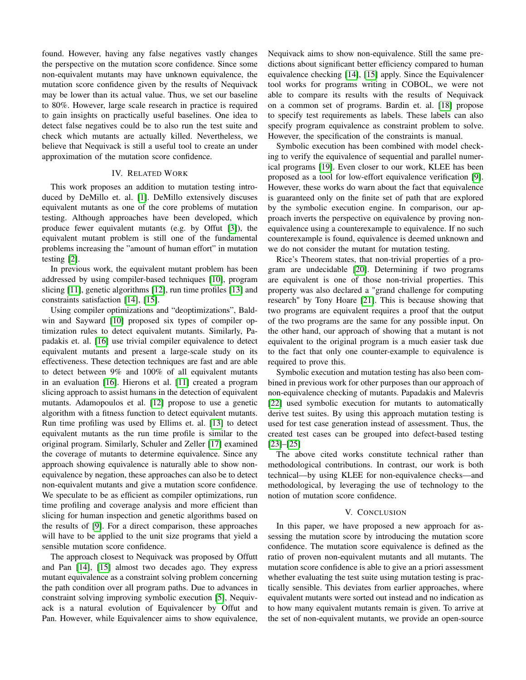found. However, having any false negatives vastly changes the perspective on the mutation score confidence. Since some non-equivalent mutants may have unknown equivalence, the mutation score confidence given by the results of Nequivack may be lower than its actual value. Thus, we set our baseline to 80%. However, large scale research in practice is required to gain insights on practically useful baselines. One idea to detect false negatives could be to also run the test suite and check which mutants are actually killed. Nevertheless, we believe that Nequivack is still a useful tool to create an under approximation of the mutation score confidence.

# IV. RELATED WORK

<span id="page-8-0"></span>This work proposes an addition to mutation testing introduced by DeMillo et. al. [\[1\]](#page-9-0). DeMillo extensively discuses equivalent mutants as one of the core problems of mutation testing. Although approaches have been developed, which produce fewer equivalent mutants (e.g. by Offut [\[3\]](#page-9-2)), the equivalent mutant problem is still one of the fundamental problems increasing the "amount of human effort" in mutation testing [\[2\]](#page-9-1).

In previous work, the equivalent mutant problem has been addressed by using compiler-based techniques [\[10\]](#page-9-9), program slicing [\[11\]](#page-9-10), genetic algorithms [\[12\]](#page-9-11), run time profiles [\[13\]](#page-9-12) and constraints satisfaction [\[14\]](#page-9-13), [\[15\]](#page-9-14).

Using compiler optimizations and "deoptimizations", Baldwin and Sayward [\[10\]](#page-9-9) proposed six types of compiler optimization rules to detect equivalent mutants. Similarly, Papadakis et. al. [\[16\]](#page-9-15) use trivial compiler equivalence to detect equivalent mutants and present a large-scale study on its effectiveness. These detection techniques are fast and are able to detect between 9% and 100% of all equivalent mutants in an evaluation [\[16\]](#page-9-15). Hierons et al. [\[11\]](#page-9-10) created a program slicing approach to assist humans in the detection of equivalent mutants. Adamopoulos et al. [\[12\]](#page-9-11) propose to use a genetic algorithm with a fitness function to detect equivalent mutants. Run time profiling was used by Ellims et. al. [\[13\]](#page-9-12) to detect equivalent mutants as the run time profile is similar to the original program. Similarly, Schuler and Zeller [\[17\]](#page-9-16) examined the coverage of mutants to determine equivalence. Since any approach showing equivalence is naturally able to show nonequivalence by negation, these approaches can also be to detect non-equivalent mutants and give a mutation score confidence. We speculate to be as efficient as compiler optimizations, run time profiling and coverage analysis and more efficient than slicing for human inspection and genetic algorithms based on the results of [\[9\]](#page-9-8). For a direct comparison, these approaches will have to be applied to the unit size programs that yield a sensible mutation score confidence.

The approach closest to Nequivack was proposed by Offutt and Pan [\[14\]](#page-9-13), [\[15\]](#page-9-14) almost two decades ago. They express mutant equivalence as a constraint solving problem concerning the path condition over all program paths. Due to advances in constraint solving improving symbolic execution [\[5\]](#page-9-4), Nequivack is a natural evolution of Equivalencer by Offut and Pan. However, while Equivalencer aims to show equivalence,

Nequivack aims to show non-equivalence. Still the same predictions about significant better efficiency compared to human equivalence checking [\[14\]](#page-9-13), [\[15\]](#page-9-14) apply. Since the Equivalencer tool works for programs writing in COBOL, we were not able to compare its results with the results of Nequivack on a common set of programs. Bardin et. al. [\[18\]](#page-9-17) propose to specify test requirements as labels. These labels can also specify program equivalence as constraint problem to solve. However, the specification of the constraints is manual.

Symbolic execution has been combined with model checking to verify the equivalence of sequential and parallel numerical programs [\[19\]](#page-9-18). Even closer to our work, KLEE has been proposed as a tool for low-effort equivalence verification [\[9\]](#page-9-8). However, these works do warn about the fact that equivalence is guaranteed only on the finite set of path that are explored by the symbolic execution engine. In comparison, our approach inverts the perspective on equivalence by proving nonequivalence using a counterexample to equivalence. If no such counterexample is found, equivalence is deemed unknown and we do not consider the mutant for mutation testing.

Rice's Theorem states, that non-trivial properties of a program are undecidable [\[20\]](#page-9-19). Determining if two programs are equivalent is one of those non-trivial properties. This property was also declared a "grand challenge for computing research" by Tony Hoare [\[21\]](#page-9-20). This is because showing that two programs are equivalent requires a proof that the output of the two programs are the same for any possible input. On the other hand, our approach of showing that a mutant is not equivalent to the original program is a much easier task due to the fact that only one counter-example to equivalence is required to prove this.

Symbolic execution and mutation testing has also been combined in previous work for other purposes than our approach of non-equivalence checking of mutants. Papadakis and Malevris [\[22\]](#page-9-21) used symbolic execution for mutants to automatically derive test suites. By using this approach mutation testing is used for test case generation instead of assessment. Thus, the created test cases can be grouped into defect-based testing [\[23\]](#page-9-22)–[\[25\]](#page-9-23)

The above cited works constitute technical rather than methodological contributions. In contrast, our work is both technical—by using KLEE for non-equivalence checks—and methodological, by leveraging the use of technology to the notion of mutation score confidence.

## V. CONCLUSION

<span id="page-8-1"></span>In this paper, we have proposed a new approach for assessing the mutation score by introducing the mutation score confidence. The mutation score equivalence is defined as the ratio of proven non-equivalent mutants and all mutants. The mutation score confidence is able to give an a priori assessment whether evaluating the test suite using mutation testing is practically sensible. This deviates from earlier approaches, where equivalent mutants were sorted out instead and no indication as to how many equivalent mutants remain is given. To arrive at the set of non-equivalent mutants, we provide an open-source